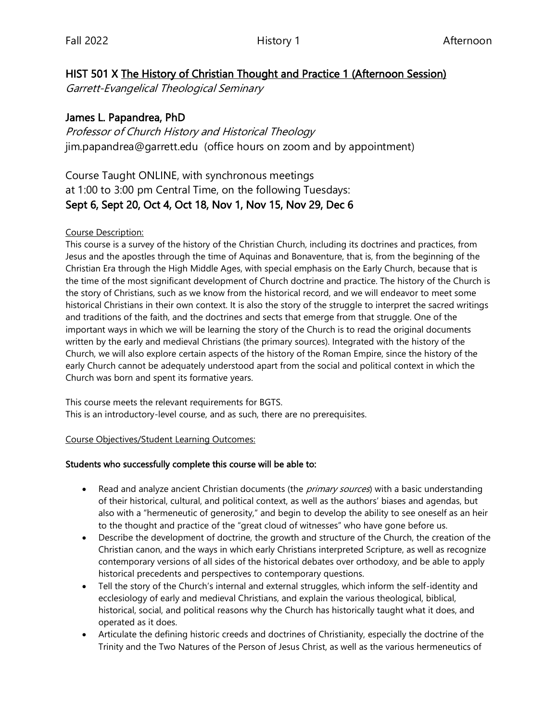### HIST 501 X The History of Christian Thought and Practice 1 (Afternoon Session)

Garrett-Evangelical Theological Seminary

### James L. Papandrea, PhD

Professor of Church History and Historical Theology jim.papandrea@garrett.edu (office hours on zoom and by appointment)

# Course Taught ONLINE, with synchronous meetings at 1:00 to 3:00 pm Central Time, on the following Tuesdays: Sept 6, Sept 20, Oct 4, Oct 18, Nov 1, Nov 15, Nov 29, Dec 6

#### Course Description:

This course is a survey of the history of the Christian Church, including its doctrines and practices, from Jesus and the apostles through the time of Aquinas and Bonaventure, that is, from the beginning of the Christian Era through the High Middle Ages, with special emphasis on the Early Church, because that is the time of the most significant development of Church doctrine and practice. The history of the Church is the story of Christians, such as we know from the historical record, and we will endeavor to meet some historical Christians in their own context. It is also the story of the struggle to interpret the sacred writings and traditions of the faith, and the doctrines and sects that emerge from that struggle. One of the important ways in which we will be learning the story of the Church is to read the original documents written by the early and medieval Christians (the primary sources). Integrated with the history of the Church, we will also explore certain aspects of the history of the Roman Empire, since the history of the early Church cannot be adequately understood apart from the social and political context in which the Church was born and spent its formative years.

This course meets the relevant requirements for BGTS. This is an introductory-level course, and as such, there are no prerequisites.

#### Course Objectives/Student Learning Outcomes:

### Students who successfully complete this course will be able to:

- Read and analyze ancient Christian documents (the *primary sources*) with a basic understanding of their historical, cultural, and political context, as well as the authors' biases and agendas, but also with a "hermeneutic of generosity," and begin to develop the ability to see oneself as an heir to the thought and practice of the "great cloud of witnesses" who have gone before us.
- Describe the development of doctrine, the growth and structure of the Church, the creation of the Christian canon, and the ways in which early Christians interpreted Scripture, as well as recognize contemporary versions of all sides of the historical debates over orthodoxy, and be able to apply historical precedents and perspectives to contemporary questions.
- Tell the story of the Church's internal and external struggles, which inform the self-identity and ecclesiology of early and medieval Christians, and explain the various theological, biblical, historical, social, and political reasons why the Church has historically taught what it does, and operated as it does.
- Articulate the defining historic creeds and doctrines of Christianity, especially the doctrine of the Trinity and the Two Natures of the Person of Jesus Christ, as well as the various hermeneutics of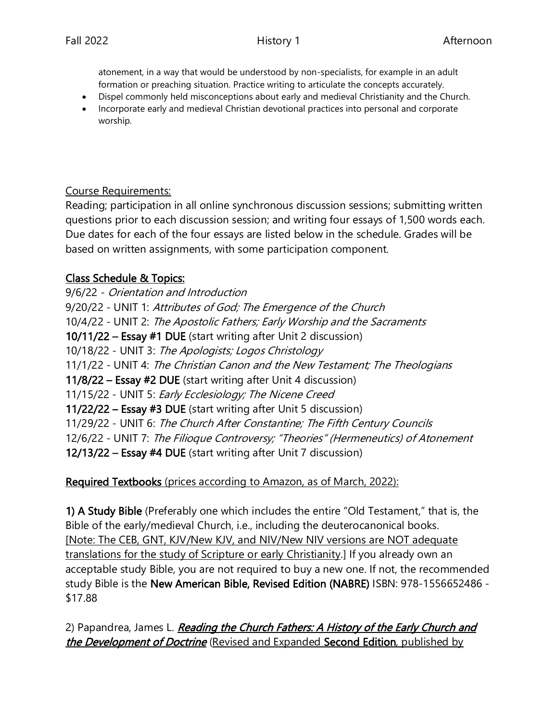atonement, in a way that would be understood by non-specialists, for example in an adult formation or preaching situation. Practice writing to articulate the concepts accurately.

- Dispel commonly held misconceptions about early and medieval Christianity and the Church.
- Incorporate early and medieval Christian devotional practices into personal and corporate worship.

### Course Requirements:

Reading; participation in all online synchronous discussion sessions; submitting written questions prior to each discussion session; and writing four essays of 1,500 words each. Due dates for each of the four essays are listed below in the schedule. Grades will be based on written assignments, with some participation component.

# Class Schedule & Topics:

9/6/22 - Orientation and Introduction 9/20/22 - UNIT 1: Attributes of God; The Emergence of the Church 10/4/22 - UNIT 2: The Apostolic Fathers; Early Worship and the Sacraments 10/11/22 – Essay #1 DUE (start writing after Unit 2 discussion) 10/18/22 - UNIT 3: The Apologists; Logos Christology 11/1/22 - UNIT 4: The Christian Canon and the New Testament; The Theologians 11/8/22 – Essay #2 DUE (start writing after Unit 4 discussion) 11/15/22 - UNIT 5: Early Ecclesiology; The Nicene Creed 11/22/22 – Essay #3 DUE (start writing after Unit 5 discussion) 11/29/22 - UNIT 6: The Church After Constantine; The Fifth Century Councils 12/6/22 - UNIT 7: The Filioque Controversy; "Theories" (Hermeneutics) of Atonement 12/13/22 – Essay #4 DUE (start writing after Unit 7 discussion)

# Required Textbooks (prices according to Amazon, as of March, 2022):

1) A Study Bible (Preferably one which includes the entire "Old Testament," that is, the Bible of the early/medieval Church, i.e., including the deuterocanonical books. [Note: The CEB, GNT, KJV/New KJV, and NIV/New NIV versions are NOT adequate translations for the study of Scripture or early Christianity.] If you already own an acceptable study Bible, you are not required to buy a new one. If not, the recommended study Bible is the New American Bible, Revised Edition (NABRE) ISBN: 978-1556652486 - \$17.88

2) Papandrea, James L. Reading the Church Fathers: A History of the Early Church and the Development of Doctrine (Revised and Expanded Second Edition, published by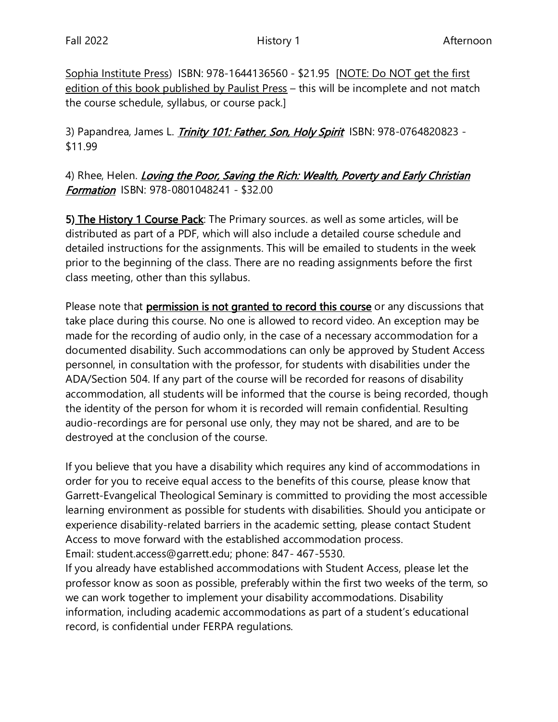Sophia Institute Press) ISBN: 978-1644136560 - \$21.95 [NOTE: Do NOT get the first edition of this book published by Paulist Press – this will be incomplete and not match the course schedule, syllabus, or course pack.]

3) Papandrea, James L. *Trinity 101: Father, Son, Holy Spirit* ISBN: 978-0764820823 -\$11.99

# 4) Rhee, Helen. *Loving the Poor, Saving the Rich: Wealth, Poverty and Early Christian* **Formation** ISBN: 978-0801048241 - \$32.00

5) The History 1 Course Pack: The Primary sources. as well as some articles, will be distributed as part of a PDF, which will also include a detailed course schedule and detailed instructions for the assignments. This will be emailed to students in the week prior to the beginning of the class. There are no reading assignments before the first class meeting, other than this syllabus.

Please note that **permission is not granted to record this course** or any discussions that take place during this course. No one is allowed to record video. An exception may be made for the recording of audio only, in the case of a necessary accommodation for a documented disability. Such accommodations can only be approved by Student Access personnel, in consultation with the professor, for students with disabilities under the ADA/Section 504. If any part of the course will be recorded for reasons of disability accommodation, all students will be informed that the course is being recorded, though the identity of the person for whom it is recorded will remain confidential. Resulting audio-recordings are for personal use only, they may not be shared, and are to be destroyed at the conclusion of the course.

If you believe that you have a disability which requires any kind of accommodations in order for you to receive equal access to the benefits of this course, please know that Garrett-Evangelical Theological Seminary is committed to providing the most accessible learning environment as possible for students with disabilities. Should you anticipate or experience disability-related barriers in the academic setting, please contact Student Access to move forward with the established accommodation process. Email: student.access@garrett.edu; phone: 847- 467-5530.

If you already have established accommodations with Student Access, please let the professor know as soon as possible, preferably within the first two weeks of the term, so we can work together to implement your disability accommodations. Disability information, including academic accommodations as part of a student's educational record, is confidential under FERPA regulations.